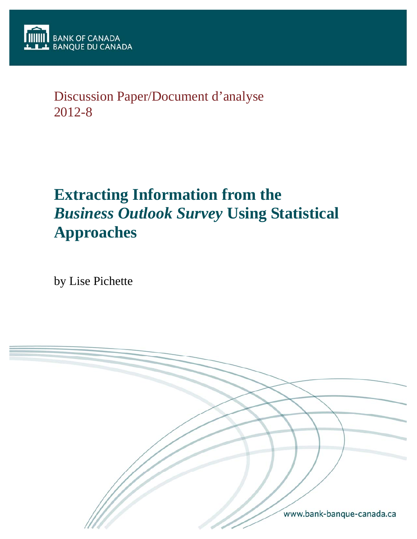

## Discussion Paper/Document d'analyse 2012-8

# **Extracting Information from the** *Business Outlook Survey* **Using Statistical Approaches**

by Lise Pichette

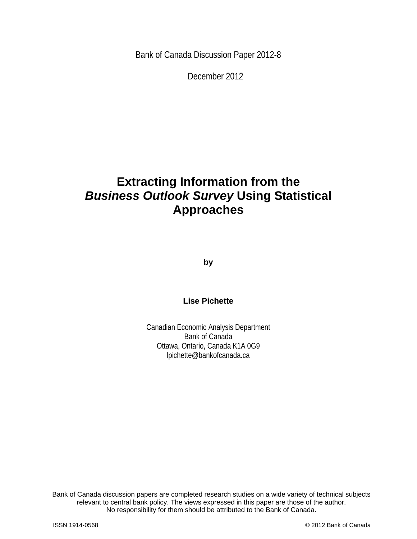Bank of Canada Discussion Paper 2012-8

December 2012

## **Extracting Information from the**  *Business Outlook Survey* **Using Statistical Approaches**

**by** 

### **Lise Pichette**

Canadian Economic Analysis Department Bank of Canada Ottawa, Ontario, Canada K1A 0G9 lpichette@bankofcanada.ca

2 No responsibility for them should be attributed to the Bank of Canada. Bank of Canada discussion papers are completed research studies on a wide variety of technical subjects relevant to central bank policy. The views expressed in this paper are those of the author.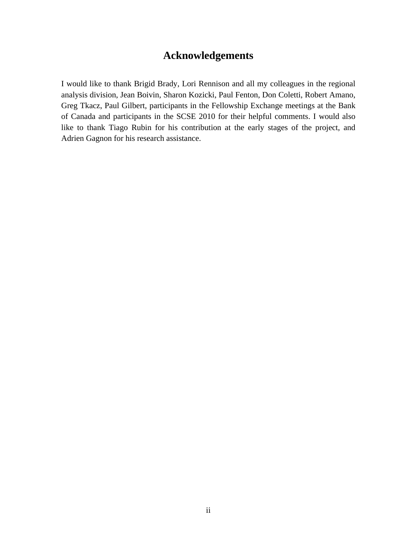## **Acknowledgements**

I would like to thank Brigid Brady, Lori Rennison and all my colleagues in the regional analysis division, Jean Boivin, Sharon Kozicki, Paul Fenton, Don Coletti, Robert Amano, Greg Tkacz, Paul Gilbert, participants in the Fellowship Exchange meetings at the Bank of Canada and participants in the SCSE 2010 for their helpful comments. I would also like to thank Tiago Rubin for his contribution at the early stages of the project, and Adrien Gagnon for his research assistance.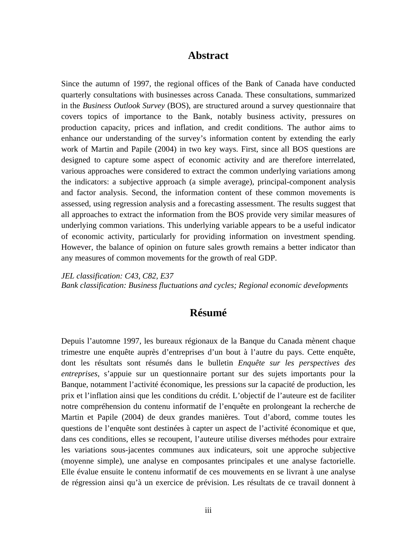### **Abstract**

Since the autumn of 1997, the regional offices of the Bank of Canada have conducted quarterly consultations with businesses across Canada. These consultations, summarized in the *Business Outlook Survey* (BOS), are structured around a survey questionnaire that covers topics of importance to the Bank, notably business activity, pressures on production capacity, prices and inflation, and credit conditions. The author aims to enhance our understanding of the survey's information content by extending the early work of Martin and Papile (2004) in two key ways. First, since all BOS questions are designed to capture some aspect of economic activity and are therefore interrelated, various approaches were considered to extract the common underlying variations among the indicators: a subjective approach (a simple average), principal-component analysis and factor analysis. Second, the information content of these common movements is assessed, using regression analysis and a forecasting assessment. The results suggest that all approaches to extract the information from the BOS provide very similar measures of underlying common variations. This underlying variable appears to be a useful indicator of economic activity, particularly for providing information on investment spending. However, the balance of opinion on future sales growth remains a better indicator than any measures of common movements for the growth of real GDP.

*JEL classification: C43, C82, E37* 

*Bank classification: Business fluctuations and cycles; Regional economic developments* 

## **Résumé**

Depuis l'automne 1997, les bureaux régionaux de la Banque du Canada mènent chaque trimestre une enquête auprès d'entreprises d'un bout à l'autre du pays. Cette enquête, dont les résultats sont résumés dans le bulletin *Enquête sur les perspectives des entreprises*, s'appuie sur un questionnaire portant sur des sujets importants pour la Banque, notamment l'activité économique, les pressions sur la capacité de production, les prix et l'inflation ainsi que les conditions du crédit. L'objectif de l'auteure est de faciliter notre compréhension du contenu informatif de l'enquête en prolongeant la recherche de Martin et Papile (2004) de deux grandes manières. Tout d'abord, comme toutes les questions de l'enquête sont destinées à capter un aspect de l'activité économique et que, dans ces conditions, elles se recoupent, l'auteure utilise diverses méthodes pour extraire les variations sous-jacentes communes aux indicateurs, soit une approche subjective (moyenne simple), une analyse en composantes principales et une analyse factorielle. Elle évalue ensuite le contenu informatif de ces mouvements en se livrant à une analyse de régression ainsi qu'à un exercice de prévision. Les résultats de ce travail donnent à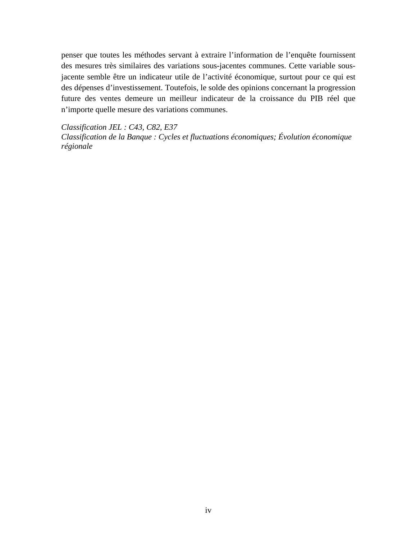penser que toutes les méthodes servant à extraire l'information de l'enquête fournissent des mesures très similaires des variations sous-jacentes communes. Cette variable sousjacente semble être un indicateur utile de l'activité économique, surtout pour ce qui est des dépenses d'investissement. Toutefois, le solde des opinions concernant la progression future des ventes demeure un meilleur indicateur de la croissance du PIB réel que n'importe quelle mesure des variations communes.

*Classification JEL : C43, C82, E37* 

*Classification de la Banque : Cycles et fluctuations économiques; Évolution économique régionale*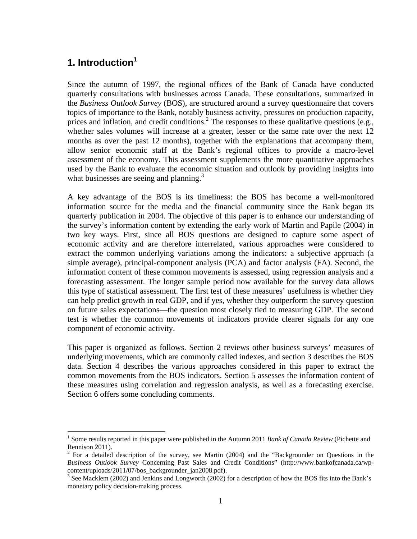## **1. Introduction<sup>1</sup>**

 $\overline{a}$ 

Since the autumn of 1997, the regional offices of the Bank of Canada have conducted quarterly consultations with businesses across Canada. These consultations, summarized in the *Business Outlook Survey* (BOS), are structured around a survey questionnaire that covers topics of importance to the Bank, notably business activity, pressures on production capacity, prices and inflation, and credit conditions.<sup>2</sup> The responses to these qualitative questions (e.g., whether sales volumes will increase at a greater, lesser or the same rate over the next 12 months as over the past 12 months), together with the explanations that accompany them, allow senior economic staff at the Bank's regional offices to provide a macro-level assessment of the economy. This assessment supplements the more quantitative approaches used by the Bank to evaluate the economic situation and outlook by providing insights into what businesses are seeing and planning.<sup>3</sup>

A key advantage of the BOS is its timeliness: the BOS has become a well-monitored information source for the media and the financial community since the Bank began its quarterly publication in 2004. The objective of this paper is to enhance our understanding of the survey's information content by extending the early work of Martin and Papile (2004) in two key ways. First, since all BOS questions are designed to capture some aspect of economic activity and are therefore interrelated, various approaches were considered to extract the common underlying variations among the indicators: a subjective approach (a simple average), principal-component analysis (PCA) and factor analysis (FA). Second, the information content of these common movements is assessed, using regression analysis and a forecasting assessment. The longer sample period now available for the survey data allows this type of statistical assessment. The first test of these measures' usefulness is whether they can help predict growth in real GDP, and if yes, whether they outperform the survey question on future sales expectations—the question most closely tied to measuring GDP. The second test is whether the common movements of indicators provide clearer signals for any one component of economic activity.

This paper is organized as follows. Section 2 reviews other business surveys' measures of underlying movements, which are commonly called indexes, and section 3 describes the BOS data. Section 4 describes the various approaches considered in this paper to extract the common movements from the BOS indicators. Section 5 assesses the information content of these measures using correlation and regression analysis, as well as a forecasting exercise. Section 6 offers some concluding comments.

<sup>&</sup>lt;sup>1</sup> Some results reported in this paper were published in the Autumn 2011 *Bank of Canada Review* (Pichette and Rennison 2011).

<sup>&</sup>lt;sup>2</sup> For a detailed description of the survey, see Martin (2004) and the "Backgrounder on Questions in the *Business Outlook Survey* Concerning Past Sales and Credit Conditions" (http://www.bankofcanada.ca/wpcontent/uploads/2011/07/bos\_backgrounder\_jan2008.pdf).

 $3$  See Macklem (2002) and Jenkins and Longworth (2002) for a description of how the BOS fits into the Bank's monetary policy decision-making process.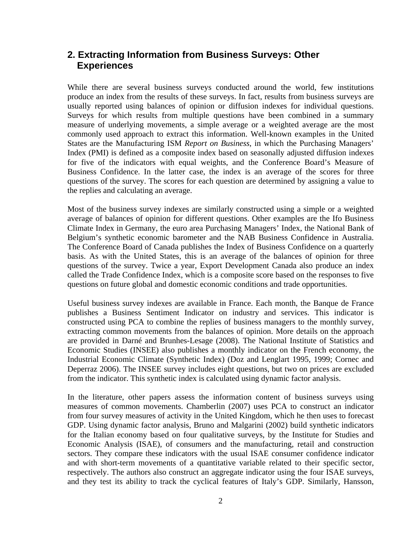## **2. Extracting Information from Business Surveys: Other Experiences**

While there are several business surveys conducted around the world, few institutions produce an index from the results of these surveys. In fact, results from business surveys are usually reported using balances of opinion or diffusion indexes for individual questions. Surveys for which results from multiple questions have been combined in a summary measure of underlying movements, a simple average or a weighted average are the most commonly used approach to extract this information. Well-known examples in the United States are the Manufacturing ISM *Report on Business*, in which the Purchasing Managers' Index (PMI) is defined as a composite index based on seasonally adjusted diffusion indexes for five of the indicators with equal weights, and the Conference Board's Measure of Business Confidence. In the latter case, the index is an average of the scores for three questions of the survey. The scores for each question are determined by assigning a value to the replies and calculating an average.

Most of the business survey indexes are similarly constructed using a simple or a weighted average of balances of opinion for different questions. Other examples are the Ifo Business Climate Index in Germany, the euro area Purchasing Managers' Index, the National Bank of Belgium's synthetic economic barometer and the NAB Business Confidence in Australia. The Conference Board of Canada publishes the Index of Business Confidence on a quarterly basis. As with the United States, this is an average of the balances of opinion for three questions of the survey. Twice a year, Export Development Canada also produce an index called the Trade Confidence Index, which is a composite score based on the responses to five questions on future global and domestic economic conditions and trade opportunities.

Useful business survey indexes are available in France. Each month, the Banque de France publishes a Business Sentiment Indicator on industry and services. This indicator is constructed using PCA to combine the replies of business managers to the monthly survey, extracting common movements from the balances of opinion. More details on the approach are provided in Darné and Brunhes-Lesage (2008). The National Institute of Statistics and Economic Studies (INSEE) also publishes a monthly indicator on the French economy, the Industrial Economic Climate (Synthetic Index) (Doz and Lenglart 1995, 1999; Cornec and Deperraz 2006). The INSEE survey includes eight questions, but two on prices are excluded from the indicator. This synthetic index is calculated using dynamic factor analysis.

In the literature, other papers assess the information content of business surveys using measures of common movements. Chamberlin (2007) uses PCA to construct an indicator from four survey measures of activity in the United Kingdom, which he then uses to forecast GDP. Using dynamic factor analysis, Bruno and Malgarini (2002) build synthetic indicators for the Italian economy based on four qualitative surveys, by the Institute for Studies and Economic Analysis (ISAE), of consumers and the manufacturing, retail and construction sectors. They compare these indicators with the usual ISAE consumer confidence indicator and with short-term movements of a quantitative variable related to their specific sector, respectively. The authors also construct an aggregate indicator using the four ISAE surveys, and they test its ability to track the cyclical features of Italy's GDP. Similarly, Hansson,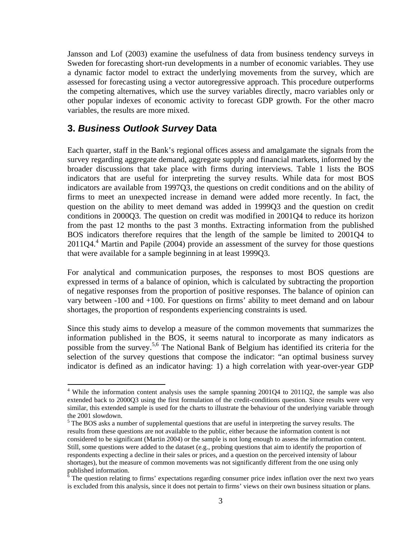Jansson and Lof (2003) examine the usefulness of data from business tendency surveys in Sweden for forecasting short-run developments in a number of economic variables. They use a dynamic factor model to extract the underlying movements from the survey, which are assessed for forecasting using a vector autoregressive approach. This procedure outperforms the competing alternatives, which use the survey variables directly, macro variables only or other popular indexes of economic activity to forecast GDP growth. For the other macro variables, the results are more mixed.

#### **3.** *Business Outlook Survey* **Data**

 $\overline{a}$ 

Each quarter, staff in the Bank's regional offices assess and amalgamate the signals from the survey regarding aggregate demand, aggregate supply and financial markets, informed by the broader discussions that take place with firms during interviews. Table 1 lists the BOS indicators that are useful for interpreting the survey results. While data for most BOS indicators are available from 1997Q3, the questions on credit conditions and on the ability of firms to meet an unexpected increase in demand were added more recently. In fact, the question on the ability to meet demand was added in 1999Q3 and the question on credit conditions in 2000Q3. The question on credit was modified in 2001Q4 to reduce its horizon from the past 12 months to the past 3 months. Extracting information from the published BOS indicators therefore requires that the length of the sample be limited to 2001Q4 to 2011Q4.4 Martin and Papile (2004) provide an assessment of the survey for those questions that were available for a sample beginning in at least 1999Q3.

For analytical and communication purposes, the responses to most BOS questions are expressed in terms of a balance of opinion, which is calculated by subtracting the proportion of negative responses from the proportion of positive responses. The balance of opinion can vary between -100 and +100. For questions on firms' ability to meet demand and on labour shortages, the proportion of respondents experiencing constraints is used.

Since this study aims to develop a measure of the common movements that summarizes the information published in the BOS, it seems natural to incorporate as many indicators as possible from the survey.5,6 The National Bank of Belgium has identified its criteria for the selection of the survey questions that compose the indicator: "an optimal business survey indicator is defined as an indicator having: 1) a high correlation with year-over-year GDP

<sup>&</sup>lt;sup>4</sup> While the information content analysis uses the sample spanning 2001Q4 to 2011Q2, the sample was also extended back to 2000Q3 using the first formulation of the credit-conditions question. Since results were very similar, this extended sample is used for the charts to illustrate the behaviour of the underlying variable through the 2001 slowdown.

 $<sup>5</sup>$  The BOS asks a number of supplemental questions that are useful in interpreting the survey results. The</sup> results from these questions are not available to the public, either because the information content is not considered to be significant (Martin 2004) or the sample is not long enough to assess the information content. Still, some questions were added to the dataset (e.g., probing questions that aim to identify the proportion of respondents expecting a decline in their sales or prices, and a question on the perceived intensity of labour shortages), but the measure of common movements was not significantly different from the one using only published information.

 $\frac{6}{6}$  The question relating to firms' expectations regarding consumer price index inflation over the next two years is excluded from this analysis, since it does not pertain to firms' views on their own business situation or plans.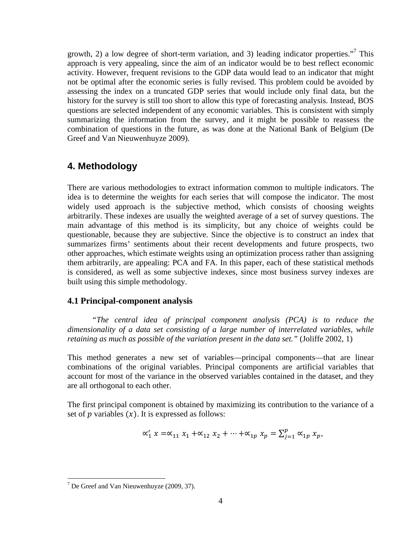growth, 2) a low degree of short-term variation, and 3) leading indicator properties."<sup>7</sup> This approach is very appealing, since the aim of an indicator would be to best reflect economic activity. However, frequent revisions to the GDP data would lead to an indicator that might not be optimal after the economic series is fully revised. This problem could be avoided by assessing the index on a truncated GDP series that would include only final data, but the history for the survey is still too short to allow this type of forecasting analysis. Instead, BOS questions are selected independent of any economic variables. This is consistent with simply summarizing the information from the survey, and it might be possible to reassess the combination of questions in the future, as was done at the National Bank of Belgium (De Greef and Van Nieuwenhuyze 2009).

## **4. Methodology**

There are various methodologies to extract information common to multiple indicators. The idea is to determine the weights for each series that will compose the indicator. The most widely used approach is the subjective method, which consists of choosing weights arbitrarily. These indexes are usually the weighted average of a set of survey questions. The main advantage of this method is its simplicity, but any choice of weights could be questionable, because they are subjective. Since the objective is to construct an index that summarizes firms' sentiments about their recent developments and future prospects, two other approaches, which estimate weights using an optimization process rather than assigning them arbitrarily, are appealing: PCA and FA. In this paper, each of these statistical methods is considered, as well as some subjective indexes, since most business survey indexes are built using this simple methodology.

#### **4.1 Principal-component analysis**

*"The central idea of principal component analysis (PCA) is to reduce the dimensionality of a data set consisting of a large number of interrelated variables, while retaining as much as possible of the variation present in the data set.*" (Joliffe 2002, 1)

This method generates a new set of variables—principal components—that are linear combinations of the original variables. Principal components are artificial variables that account for most of the variance in the observed variables contained in the dataset, and they are all orthogonal to each other.

The first principal component is obtained by maximizing its contribution to the variance of a set of  $p$  variables  $(x)$ . It is expressed as follows:

$$
\alpha'_1 x = \alpha_{11} x_1 + \alpha_{12} x_2 + \dots + \alpha_{1p} x_p = \sum_{j=1}^p \alpha_{1p} x_p,
$$

 $\overline{a}$ 

 $7$  De Greef and Van Nieuwenhuyze (2009, 37).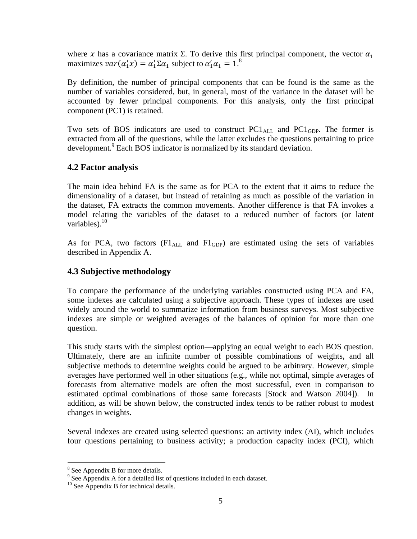where x has a covariance matrix Σ. To derive this first principal component, the vector  $\alpha_1$ maximizes  $var(\alpha_1' x) = \alpha_1' \Sigma \alpha_1$  subject to  $\alpha_1' \alpha_1 = 1$ .<sup>8</sup>

By definition, the number of principal components that can be found is the same as the number of variables considered, but, in general, most of the variance in the dataset will be accounted by fewer principal components. For this analysis, only the first principal component (PC1) is retained.

Two sets of BOS indicators are used to construct  $PC1_{ALL}$  and  $PC1_{ GDP}$ . The former is extracted from all of the questions, while the latter excludes the questions pertaining to price development.<sup>9</sup> Each BOS indicator is normalized by its standard deviation.

#### **4.2 Factor analysis**

The main idea behind FA is the same as for PCA to the extent that it aims to reduce the dimensionality of a dataset, but instead of retaining as much as possible of the variation in the dataset, FA extracts the common movements. Another difference is that FA invokes a model relating the variables of the dataset to a reduced number of factors (or latent variables). $10$ 

As for PCA, two factors  $(Fl_{ALL}$  and  $Fl_{GDP}$ ) are estimated using the sets of variables described in Appendix A.

#### **4.3 Subjective methodology**

To compare the performance of the underlying variables constructed using PCA and FA, some indexes are calculated using a subjective approach. These types of indexes are used widely around the world to summarize information from business surveys. Most subjective indexes are simple or weighted averages of the balances of opinion for more than one question.

This study starts with the simplest option—applying an equal weight to each BOS question. Ultimately, there are an infinite number of possible combinations of weights, and all subjective methods to determine weights could be argued to be arbitrary. However, simple averages have performed well in other situations (e.g., while not optimal, simple averages of forecasts from alternative models are often the most successful, even in comparison to estimated optimal combinations of those same forecasts [Stock and Watson 2004]). In addition, as will be shown below, the constructed index tends to be rather robust to modest changes in weights.

Several indexes are created using selected questions: an activity index (AI), which includes four questions pertaining to business activity; a production capacity index (PCI), which

 $\overline{a}$ 

<sup>&</sup>lt;sup>8</sup> See Appendix B for more details.

<sup>&</sup>lt;sup>9</sup> See Appendix A for a detailed list of questions included in each dataset. <sup>10</sup> See Appendix B for technical details.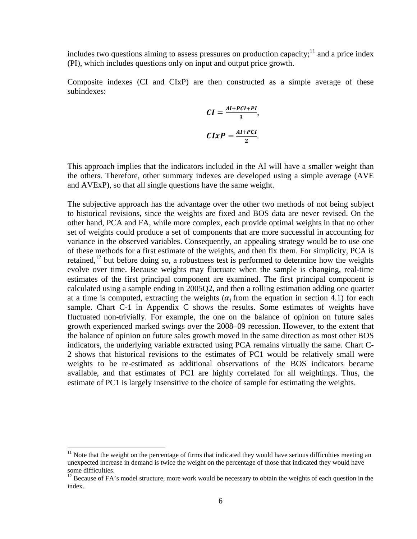includes two questions aiming to assess pressures on production capacity;<sup>11</sup> and a price index (PI), which includes questions only on input and output price growth.

Composite indexes (CI and CIxP) are then constructed as a simple average of these subindexes:

$$
CI = \frac{AI + PCI + PI}{3},
$$

$$
CIxP = \frac{AI + PCI}{2}.
$$

This approach implies that the indicators included in the AI will have a smaller weight than the others. Therefore, other summary indexes are developed using a simple average (AVE and AVExP), so that all single questions have the same weight.

The subjective approach has the advantage over the other two methods of not being subject to historical revisions, since the weights are fixed and BOS data are never revised. On the other hand, PCA and FA, while more complex, each provide optimal weights in that no other set of weights could produce a set of components that are more successful in accounting for variance in the observed variables. Consequently, an appealing strategy would be to use one of these methods for a first estimate of the weights, and then fix them. For simplicity, PCA is retained,<sup>12</sup> but before doing so, a robustness test is performed to determine how the weights evolve over time. Because weights may fluctuate when the sample is changing, real-time estimates of the first principal component are examined. The first principal component is calculated using a sample ending in 2005Q2, and then a rolling estimation adding one quarter at a time is computed, extracting the weights ( $\alpha_1$ from the equation in section 4.1) for each sample. Chart C-1 in Appendix C shows the results. Some estimates of weights have fluctuated non-trivially. For example, the one on the balance of opinion on future sales growth experienced marked swings over the 2008–09 recession. However, to the extent that the balance of opinion on future sales growth moved in the same direction as most other BOS indicators, the underlying variable extracted using PCA remains virtually the same. Chart C-2 shows that historical revisions to the estimates of PC1 would be relatively small were weights to be re-estimated as additional observations of the BOS indicators became available, and that estimates of PC1 are highly correlated for all weightings. Thus, the estimate of PC1 is largely insensitive to the choice of sample for estimating the weights.

 $\overline{a}$ 

 $11$  Note that the weight on the percentage of firms that indicated they would have serious difficulties meeting an unexpected increase in demand is twice the weight on the percentage of those that indicated they would have some difficulties.

<sup>&</sup>lt;sup>12</sup> Because of FA's model structure, more work would be necessary to obtain the weights of each question in the index.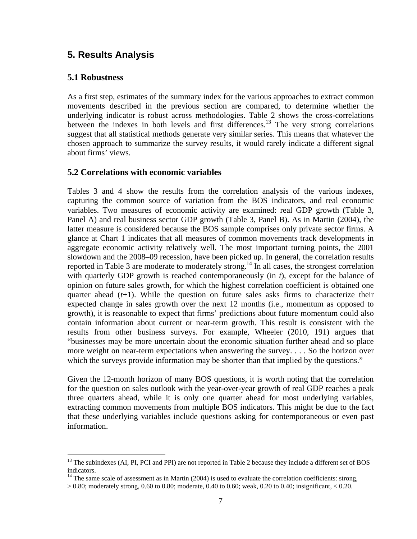## **5. Results Analysis**

#### **5.1 Robustness**

 $\overline{a}$ 

As a first step, estimates of the summary index for the various approaches to extract common movements described in the previous section are compared, to determine whether the underlying indicator is robust across methodologies. Table 2 shows the cross-correlations between the indexes in both levels and first differences.<sup>13</sup> The very strong correlations suggest that all statistical methods generate very similar series. This means that whatever the chosen approach to summarize the survey results, it would rarely indicate a different signal about firms' views.

#### **5.2 Correlations with economic variables**

Tables 3 and 4 show the results from the correlation analysis of the various indexes, capturing the common source of variation from the BOS indicators, and real economic variables. Two measures of economic activity are examined: real GDP growth (Table 3, Panel A) and real business sector GDP growth (Table 3, Panel B). As in Martin (2004), the latter measure is considered because the BOS sample comprises only private sector firms. A glance at Chart 1 indicates that all measures of common movements track developments in aggregate economic activity relatively well. The most important turning points, the 2001 slowdown and the 2008–09 recession, have been picked up. In general, the correlation results reported in Table 3 are moderate to moderately strong.14 In all cases, the strongest correlation with quarterly GDP growth is reached contemporaneously (in *t*), except for the balance of opinion on future sales growth, for which the highest correlation coefficient is obtained one quarter ahead (*t*+1). While the question on future sales asks firms to characterize their expected change in sales growth over the next 12 months (i.e., momentum as opposed to growth), it is reasonable to expect that firms' predictions about future momentum could also contain information about current or near-term growth. This result is consistent with the results from other business surveys. For example, Wheeler (2010, 191) argues that "businesses may be more uncertain about the economic situation further ahead and so place more weight on near-term expectations when answering the survey. . . . So the horizon over which the surveys provide information may be shorter than that implied by the questions."

Given the 12-month horizon of many BOS questions, it is worth noting that the correlation for the question on sales outlook with the year-over-year growth of real GDP reaches a peak three quarters ahead, while it is only one quarter ahead for most underlying variables, extracting common movements from multiple BOS indicators. This might be due to the fact that these underlying variables include questions asking for contemporaneous or even past information.

 $^{13}$  The subindexes (AI, PI, PCI and PPI) are not reported in Table 2 because they include a different set of BOS indicators.

 $14$  The same scale of assessment as in Martin (2004) is used to evaluate the correlation coefficients: strong,

 $> 0.80$ ; moderately strong, 0.60 to 0.80; moderate, 0.40 to 0.60; weak, 0.20 to 0.40; insignificant, < 0.20.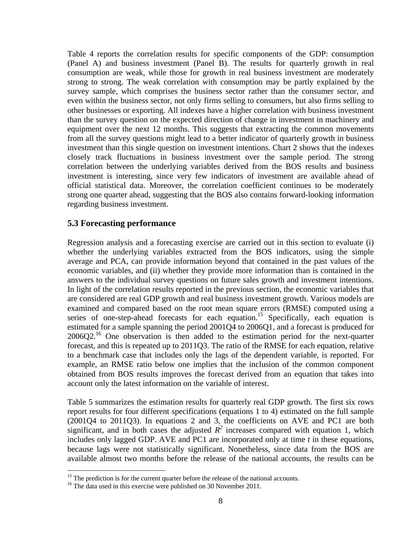Table 4 reports the correlation results for specific components of the GDP: consumption (Panel A) and business investment (Panel B). The results for quarterly growth in real consumption are weak, while those for growth in real business investment are moderately strong to strong. The weak correlation with consumption may be partly explained by the survey sample, which comprises the business sector rather than the consumer sector, and even within the business sector, not only firms selling to consumers, but also firms selling to other businesses or exporting. All indexes have a higher correlation with business investment than the survey question on the expected direction of change in investment in machinery and equipment over the next 12 months. This suggests that extracting the common movements from all the survey questions might lead to a better indicator of quarterly growth in business investment than this single question on investment intentions. Chart 2 shows that the indexes closely track fluctuations in business investment over the sample period. The strong correlation between the underlying variables derived from the BOS results and business investment is interesting, since very few indicators of investment are available ahead of official statistical data. Moreover, the correlation coefficient continues to be moderately strong one quarter ahead, suggesting that the BOS also contains forward-looking information regarding business investment.

#### **5.3 Forecasting performance**

Regression analysis and a forecasting exercise are carried out in this section to evaluate (i) whether the underlying variables extracted from the BOS indicators, using the simple average and PCA, can provide information beyond that contained in the past values of the economic variables, and (ii) whether they provide more information than is contained in the answers to the individual survey questions on future sales growth and investment intentions. In light of the correlation results reported in the previous section, the economic variables that are considered are real GDP growth and real business investment growth. Various models are examined and compared based on the root mean square errors (RMSE) computed using a series of one-step-ahead forecasts for each equation.<sup>15</sup> Specifically, each equation is estimated for a sample spanning the period 2001Q4 to 2006Q1, and a forecast is produced for 2006Q2.16 One observation is then added to the estimation period for the next-quarter forecast, and this is repeated up to 2011Q3. The ratio of the RMSE for each equation, relative to a benchmark case that includes only the lags of the dependent variable, is reported. For example, an RMSE ratio below one implies that the inclusion of the common component obtained from BOS results improves the forecast derived from an equation that takes into account only the latest information on the variable of interest.

Table 5 summarizes the estimation results for quarterly real GDP growth. The first six rows report results for four different specifications (equations 1 to 4) estimated on the full sample (2001Q4 to 2011Q3). In equations 2 and 3, the coefficients on AVE and PC1 are both significant, and in both cases the adjusted  $R^2$  increases compared with equation 1, which includes only lagged GDP. AVE and PC1 are incorporated only at time *t* in these equations, because lags were not statistically significant. Nonetheless, since data from the BOS are available almost two months before the release of the national accounts, the results can be

1

<sup>&</sup>lt;sup>15</sup> The prediction is for the current quarter before the release of the national accounts. <sup>16</sup> The data used in this exercise were published on 30 November 2011.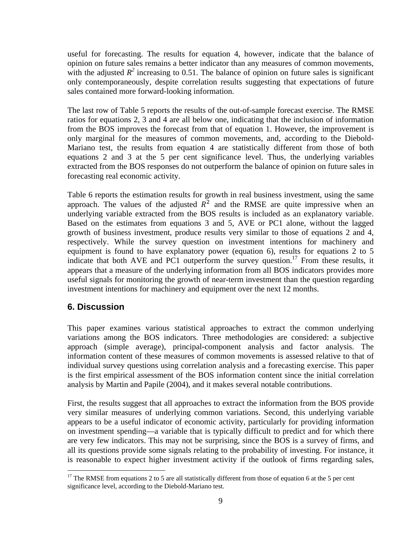useful for forecasting. The results for equation 4, however, indicate that the balance of opinion on future sales remains a better indicator than any measures of common movements, with the adjusted  $R^2$  increasing to 0.51. The balance of opinion on future sales is significant only contemporaneously, despite correlation results suggesting that expectations of future sales contained more forward-looking information.

The last row of Table 5 reports the results of the out-of-sample forecast exercise. The RMSE ratios for equations 2, 3 and 4 are all below one, indicating that the inclusion of information from the BOS improves the forecast from that of equation 1. However, the improvement is only marginal for the measures of common movements, and, according to the Diebold-Mariano test, the results from equation 4 are statistically different from those of both equations 2 and 3 at the 5 per cent significance level. Thus, the underlying variables extracted from the BOS responses do not outperform the balance of opinion on future sales in forecasting real economic activity.

Table 6 reports the estimation results for growth in real business investment, using the same approach. The values of the adjusted  $R<sup>2</sup>$  and the RMSE are quite impressive when an underlying variable extracted from the BOS results is included as an explanatory variable. Based on the estimates from equations 3 and 5, AVE or PC1 alone, without the lagged growth of business investment, produce results very similar to those of equations 2 and 4, respectively. While the survey question on investment intentions for machinery and equipment is found to have explanatory power (equation 6), results for equations 2 to 5 indicate that both AVE and PC1 outperform the survey question.<sup>17</sup> From these results, it appears that a measure of the underlying information from all BOS indicators provides more useful signals for monitoring the growth of near-term investment than the question regarding investment intentions for machinery and equipment over the next 12 months.

## **6. Discussion**

 $\overline{a}$ 

This paper examines various statistical approaches to extract the common underlying variations among the BOS indicators. Three methodologies are considered: a subjective approach (simple average), principal-component analysis and factor analysis. The information content of these measures of common movements is assessed relative to that of individual survey questions using correlation analysis and a forecasting exercise. This paper is the first empirical assessment of the BOS information content since the initial correlation analysis by Martin and Papile (2004), and it makes several notable contributions.

First, the results suggest that all approaches to extract the information from the BOS provide very similar measures of underlying common variations. Second, this underlying variable appears to be a useful indicator of economic activity, particularly for providing information on investment spending—a variable that is typically difficult to predict and for which there are very few indicators. This may not be surprising, since the BOS is a survey of firms, and all its questions provide some signals relating to the probability of investing. For instance, it is reasonable to expect higher investment activity if the outlook of firms regarding sales,

<sup>&</sup>lt;sup>17</sup> The RMSE from equations 2 to 5 are all statistically different from those of equation 6 at the 5 per cent significance level, according to the Diebold-Mariano test.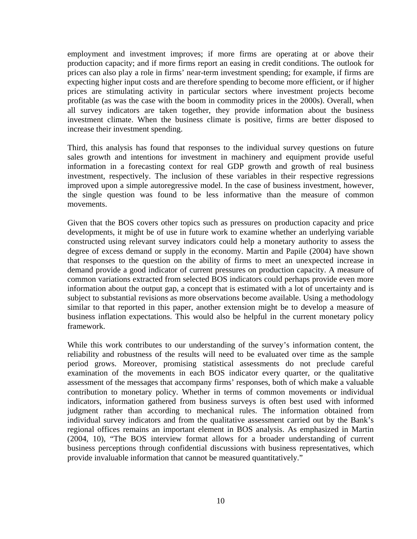employment and investment improves; if more firms are operating at or above their production capacity; and if more firms report an easing in credit conditions. The outlook for prices can also play a role in firms' near-term investment spending; for example, if firms are expecting higher input costs and are therefore spending to become more efficient, or if higher prices are stimulating activity in particular sectors where investment projects become profitable (as was the case with the boom in commodity prices in the 2000s). Overall, when all survey indicators are taken together, they provide information about the business investment climate. When the business climate is positive, firms are better disposed to increase their investment spending.

Third, this analysis has found that responses to the individual survey questions on future sales growth and intentions for investment in machinery and equipment provide useful information in a forecasting context for real GDP growth and growth of real business investment, respectively. The inclusion of these variables in their respective regressions improved upon a simple autoregressive model. In the case of business investment, however, the single question was found to be less informative than the measure of common movements.

Given that the BOS covers other topics such as pressures on production capacity and price developments, it might be of use in future work to examine whether an underlying variable constructed using relevant survey indicators could help a monetary authority to assess the degree of excess demand or supply in the economy. Martin and Papile (2004) have shown that responses to the question on the ability of firms to meet an unexpected increase in demand provide a good indicator of current pressures on production capacity. A measure of common variations extracted from selected BOS indicators could perhaps provide even more information about the output gap, a concept that is estimated with a lot of uncertainty and is subject to substantial revisions as more observations become available. Using a methodology similar to that reported in this paper, another extension might be to develop a measure of business inflation expectations. This would also be helpful in the current monetary policy framework.

While this work contributes to our understanding of the survey's information content, the reliability and robustness of the results will need to be evaluated over time as the sample period grows. Moreover, promising statistical assessments do not preclude careful examination of the movements in each BOS indicator every quarter, or the qualitative assessment of the messages that accompany firms' responses, both of which make a valuable contribution to monetary policy. Whether in terms of common movements or individual indicators, information gathered from business surveys is often best used with informed judgment rather than according to mechanical rules. The information obtained from individual survey indicators and from the qualitative assessment carried out by the Bank's regional offices remains an important element in BOS analysis. As emphasized in Martin (2004, 10), "The BOS interview format allows for a broader understanding of current business perceptions through confidential discussions with business representatives, which provide invaluable information that cannot be measured quantitatively."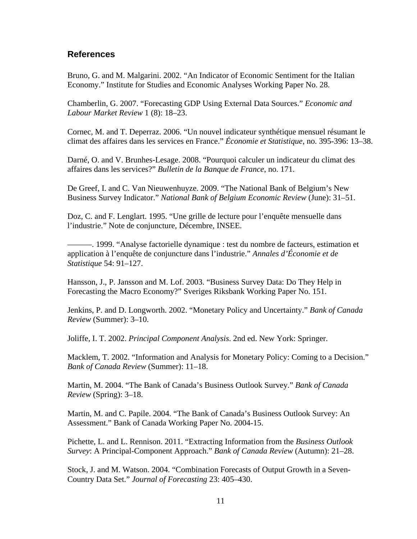#### **References**

Bruno, G. and M. Malgarini. 2002. "An Indicator of Economic Sentiment for the Italian Economy." Institute for Studies and Economic Analyses Working Paper No. 28.

Chamberlin, G. 2007. "Forecasting GDP Using External Data Sources." *Economic and Labour Market Review* 1 (8): 18–23.

Cornec, M. and T. Deperraz. 2006. "Un nouvel indicateur synthétique mensuel résumant le climat des affaires dans les services en France." *Économie et Statistique*, no. 395-396: 13–38.

Darné, O. and V. Brunhes-Lesage. 2008. "Pourquoi calculer un indicateur du climat des affaires dans les services?" *Bulletin de la Banque de France*, no. 171.

De Greef, I. and C. Van Nieuwenhuyze. 2009. "The National Bank of Belgium's New Business Survey Indicator." *National Bank of Belgium Economic Review* (June): 31–51.

Doz, C. and F. Lenglart. 1995. "Une grille de lecture pour l'enquête mensuelle dans l'industrie." Note de conjuncture, Décembre, INSEE.

———. 1999. "Analyse factorielle dynamique : test du nombre de facteurs, estimation et application à l'enquête de conjuncture dans l'industrie." *Annales d'Économie et de Statistique* 54: 91–127.

Hansson, J., P. Jansson and M. Lof. 2003. "Business Survey Data: Do They Help in Forecasting the Macro Economy?" Sveriges Riksbank Working Paper No. 151.

Jenkins, P. and D. Longworth. 2002. "Monetary Policy and Uncertainty." *Bank of Canada Review* (Summer): 3–10.

Joliffe, I. T. 2002. *Principal Component Analysis*. 2nd ed. New York: Springer.

Macklem, T. 2002. "Information and Analysis for Monetary Policy: Coming to a Decision." *Bank of Canada Review* (Summer): 11–18.

Martin, M. 2004. "The Bank of Canada's Business Outlook Survey." *Bank of Canada Review* (Spring): 3–18.

Martin, M. and C. Papile. 2004. "The Bank of Canada's Business Outlook Survey: An Assessment." Bank of Canada Working Paper No. 2004-15.

Pichette, L. and L. Rennison. 2011. "Extracting Information from the *Business Outlook Survey*: A Principal-Component Approach." *Bank of Canada Review* (Autumn): 21–28.

Stock, J. and M. Watson. 2004. "Combination Forecasts of Output Growth in a Seven-Country Data Set." *Journal of Forecasting* 23: 405–430.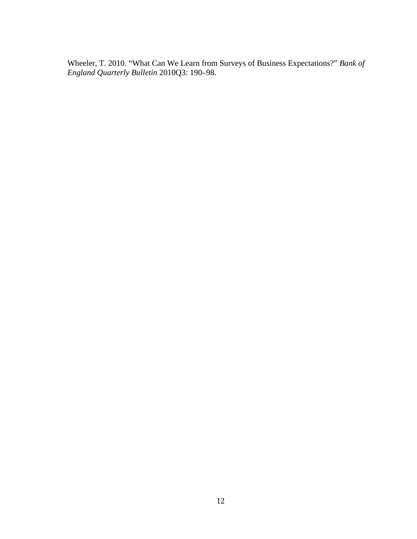Wheeler, T. 2010. "What Can We Learn from Surveys of Business Expectations?" *Bank of England Quarterly Bulletin* 2010Q3: 190–98.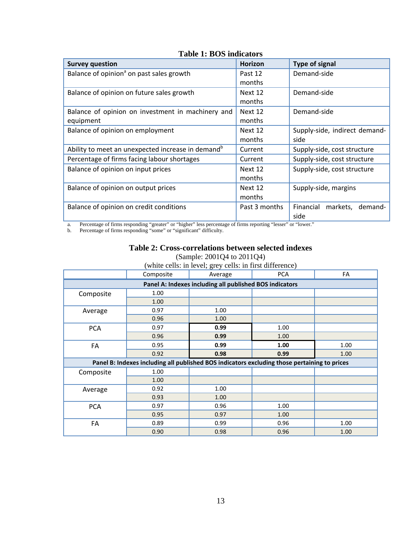| <b>Survey question</b>                                        | <b>Horizon</b> | <b>Type of signal</b>            |
|---------------------------------------------------------------|----------------|----------------------------------|
| Balance of opinion <sup>ª</sup> on past sales growth          | Past 12        | Demand-side                      |
|                                                               | months         |                                  |
| Balance of opinion on future sales growth                     | Next 12        | Demand-side                      |
|                                                               | months         |                                  |
| Balance of opinion on investment in machinery and             | Next 12        | Demand-side                      |
| equipment                                                     | months         |                                  |
| Balance of opinion on employment                              | Next 12        | Supply-side, indirect demand-    |
|                                                               | months         | side                             |
| Ability to meet an unexpected increase in demand <sup>b</sup> | Current        | Supply-side, cost structure      |
| Percentage of firms facing labour shortages                   | Current        | Supply-side, cost structure      |
| Balance of opinion on input prices                            | Next 12        | Supply-side, cost structure      |
|                                                               | months         |                                  |
| Balance of opinion on output prices                           | Next 12        | Supply-side, margins             |
|                                                               | months         |                                  |
| Balance of opinion on credit conditions                       | Past 3 months  | Financial<br>markets.<br>demand- |
|                                                               |                | side                             |

## **Table 1: BOS indicators**

a. Percentage of firms responding "greater" or "higher" less percentage of firms reporting "lesser" or "lower."

b. Percentage of firms responding "some" or "significant" difficulty.

#### **Table 2: Cross-correlations between selected indexes**

| (white cells: in level; grey cells: in first difference) |                                                                                              |         |      |      |  |  |  |  |  |
|----------------------------------------------------------|----------------------------------------------------------------------------------------------|---------|------|------|--|--|--|--|--|
|                                                          | Composite                                                                                    | Average | FA   |      |  |  |  |  |  |
| Panel A: Indexes including all published BOS indicators  |                                                                                              |         |      |      |  |  |  |  |  |
| Composite                                                | 1.00                                                                                         |         |      |      |  |  |  |  |  |
|                                                          | 1.00                                                                                         |         |      |      |  |  |  |  |  |
| Average                                                  | 0.97                                                                                         | 1.00    |      |      |  |  |  |  |  |
|                                                          | 0.96                                                                                         | 1.00    |      |      |  |  |  |  |  |
| <b>PCA</b>                                               | 0.97                                                                                         | 0.99    | 1.00 |      |  |  |  |  |  |
|                                                          | 0.96                                                                                         | 0.99    | 1.00 |      |  |  |  |  |  |
| FA                                                       | 0.95                                                                                         | 0.99    | 1.00 | 1.00 |  |  |  |  |  |
|                                                          | 0.92                                                                                         | 0.98    | 0.99 | 1.00 |  |  |  |  |  |
|                                                          | Panel B: Indexes including all published BOS indicators excluding those pertaining to prices |         |      |      |  |  |  |  |  |
| Composite                                                | 1.00                                                                                         |         |      |      |  |  |  |  |  |
|                                                          | 1.00                                                                                         |         |      |      |  |  |  |  |  |
| Average                                                  | 0.92                                                                                         | 1.00    |      |      |  |  |  |  |  |
|                                                          | 0.93                                                                                         | 1.00    |      |      |  |  |  |  |  |
| <b>PCA</b>                                               | 0.97                                                                                         | 0.96    | 1.00 |      |  |  |  |  |  |
|                                                          | 0.95                                                                                         | 0.97    | 1.00 |      |  |  |  |  |  |
| FA                                                       | 0.89                                                                                         | 0.99    | 0.96 | 1.00 |  |  |  |  |  |
|                                                          | 0.90                                                                                         | 0.98    | 0.96 | 1.00 |  |  |  |  |  |

(Sample: 2001Q4 to 2011Q4)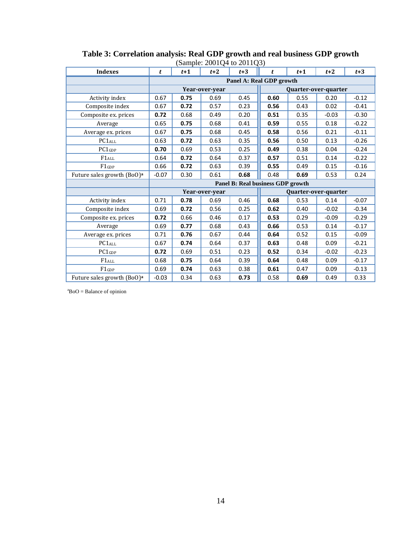| <b>Indexes</b>                         | t                        | $t+1$                             | $t+2$          | (Sample. $2001Q4$ to $2011Q3$ )<br>$t+3$ | t    | $t+1$ | $t+2$                | $t+3$   |
|----------------------------------------|--------------------------|-----------------------------------|----------------|------------------------------------------|------|-------|----------------------|---------|
|                                        | Panel A: Real GDP growth |                                   |                |                                          |      |       |                      |         |
|                                        |                          |                                   | Year-over-year |                                          |      |       | Quarter-over-quarter |         |
| Activity index                         | 0.67                     | 0.75                              | 0.69           | 0.45                                     | 0.60 | 0.55  | 0.20                 | $-0.12$ |
| Composite index                        | 0.67                     | 0.72                              | 0.57           | 0.23                                     | 0.56 | 0.43  | 0.02                 | $-0.41$ |
| Composite ex. prices                   | 0.72                     | 0.68                              | 0.49           | 0.20                                     | 0.51 | 0.35  | $-0.03$              | $-0.30$ |
| Average                                | 0.65                     | 0.75                              | 0.68           | 0.41                                     | 0.59 | 0.55  | 0.18                 | $-0.22$ |
| Average ex. prices                     | 0.67                     | 0.75                              | 0.68           | 0.45                                     | 0.58 | 0.56  | 0.21                 | $-0.11$ |
| PC1 <sub>ALL</sub>                     | 0.63                     | 0.72                              | 0.63           | 0.35                                     | 0.56 | 0.50  | 0.13                 | $-0.26$ |
| $PC1$ GDP                              | 0.70                     | 0.69                              | 0.53           | 0.25                                     | 0.49 | 0.38  | 0.04                 | $-0.24$ |
| $F1_{ALL}$                             | 0.64                     | 0.72                              | 0.64           | 0.37                                     | 0.57 | 0.51  | 0.14                 | $-0.22$ |
| $F1$ GDP                               | 0.66                     | 0.72                              | 0.63           | 0.39                                     | 0.55 | 0.49  | 0.15                 | $-0.16$ |
| Future sales growth (BoO) <sup>a</sup> | $-0.07$                  | 0.30                              | 0.61           | 0.68                                     | 0.48 | 0.69  | 0.53                 | 0.24    |
|                                        |                          | Panel B: Real business GDP growth |                |                                          |      |       |                      |         |
|                                        |                          |                                   | Year-over-year |                                          |      |       | Quarter-over-quarter |         |
| Activity index                         | 0.71                     | 0.78                              | 0.69           | 0.46                                     | 0.68 | 0.53  | 0.14                 | $-0.07$ |
| Composite index                        | 0.69                     | 0.72                              | 0.56           | 0.25                                     | 0.62 | 0.40  | $-0.02$              | $-0.34$ |
| Composite ex. prices                   | 0.72                     | 0.66                              | 0.46           | 0.17                                     | 0.53 | 0.29  | $-0.09$              | $-0.29$ |
| Average                                | 0.69                     | 0.77                              | 0.68           | 0.43                                     | 0.66 | 0.53  | 0.14                 | $-0.17$ |
| Average ex. prices                     | 0.71                     | 0.76                              | 0.67           | 0.44                                     | 0.64 | 0.52  | 0.15                 | $-0.09$ |
| PC1ALL                                 | 0.67                     | 0.74                              | 0.64           | 0.37                                     | 0.63 | 0.48  | 0.09                 | $-0.21$ |
| PC1GDP                                 | 0.72                     | 0.69                              | 0.51           | 0.23                                     | 0.52 | 0.34  | $-0.02$              | $-0.23$ |
| $F1_{ALL}$                             | 0.68                     | 0.75                              | 0.64           | 0.39                                     | 0.64 | 0.48  | 0.09                 | $-0.17$ |
| $F1$ GDP                               | 0.69                     | 0.74                              | 0.63           | 0.38                                     | 0.61 | 0.47  | 0.09                 | $-0.13$ |
| Future sales growth (BoO) <sup>a</sup> | $-0.03$                  | 0.34                              | 0.63           | 0.73                                     | 0.58 | 0.69  | 0.49                 | 0.33    |

**Table 3: Correlation analysis: Real GDP growth and real business GDP growth**  (Sample: 2001Q4 to 2011Q3)

 $a^2$ BoO = Balance of opinion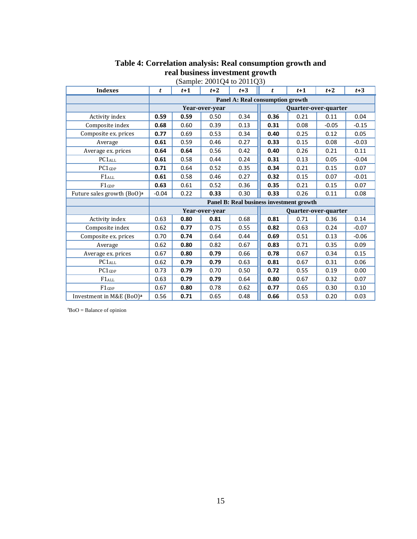| (Sample: 2001Q4 to 2011Q3)             |                                                              |                                          |                |      |                      |      |                      |         |
|----------------------------------------|--------------------------------------------------------------|------------------------------------------|----------------|------|----------------------|------|----------------------|---------|
| <b>Indexes</b>                         | $t+3$<br>$t+3$<br>$t+1$<br>$t+2$<br>$t+1$<br>$t+2$<br>t<br>t |                                          |                |      |                      |      |                      |         |
|                                        | Panel A: Real consumption growth                             |                                          |                |      |                      |      |                      |         |
|                                        |                                                              |                                          | Year-over-year |      |                      |      | Quarter-over-quarter |         |
| Activity index                         | 0.59                                                         | 0.59                                     | 0.50           | 0.34 | 0.36                 | 0.21 | 0.11                 | 0.04    |
| Composite index                        | 0.68                                                         | 0.60                                     | 0.39           | 0.13 | 0.31                 | 0.08 | $-0.05$              | $-0.15$ |
| Composite ex. prices                   | 0.77                                                         | 0.69                                     | 0.53           | 0.34 | 0.40                 | 0.25 | 0.12                 | 0.05    |
| Average                                | 0.61                                                         | 0.59                                     | 0.46           | 0.27 | 0.33                 | 0.15 | 0.08                 | $-0.03$ |
| Average ex. prices                     | 0.64                                                         | 0.64                                     | 0.56           | 0.42 | 0.40                 | 0.26 | 0.21                 | 0.11    |
| PC <sub>1</sub> ALL                    | 0.61                                                         | 0.58                                     | 0.44           | 0.24 | 0.31                 | 0.13 | 0.05                 | $-0.04$ |
| $PC1$ GDP                              | 0.71                                                         | 0.64                                     | 0.52           | 0.35 | 0.34                 | 0.21 | 0.15                 | 0.07    |
| $F1_{ALL}$                             | 0.61                                                         | 0.58                                     | 0.46           | 0.27 | 0.32                 | 0.15 | 0.07                 | $-0.01$ |
| $F1$ GDP                               | 0.63                                                         | 0.61                                     | 0.52           | 0.36 | 0.35                 | 0.21 | 0.15                 | 0.07    |
| Future sales growth (BoO) <sup>a</sup> | $-0.04$                                                      | 0.22                                     | 0.33           | 0.30 | 0.33                 | 0.26 | 0.11                 | 0.08    |
|                                        |                                                              | Panel B: Real business investment growth |                |      |                      |      |                      |         |
|                                        |                                                              |                                          | Year-over-year |      | Quarter-over-quarter |      |                      |         |
| Activity index                         | 0.63                                                         | 0.80                                     | 0.81           | 0.68 | 0.81                 | 0.71 | 0.36                 | 0.14    |
| Composite index                        | 0.62                                                         | 0.77                                     | 0.75           | 0.55 | 0.82                 | 0.63 | 0.24                 | $-0.07$ |
| Composite ex. prices                   | 0.70                                                         | 0.74                                     | 0.64           | 0.44 | 0.69                 | 0.51 | 0.13                 | $-0.06$ |
| Average                                | 0.62                                                         | 0.80                                     | 0.82           | 0.67 | 0.83                 | 0.71 | 0.35                 | 0.09    |
| Average ex. prices                     | 0.67                                                         | 0.80                                     | 0.79           | 0.66 | 0.78                 | 0.67 | 0.34                 | 0.15    |
| PC1ALL                                 | 0.62                                                         | 0.79                                     | 0.79           | 0.63 | 0.81                 | 0.67 | 0.31                 | 0.06    |
| $PC1$ GDP                              | 0.73                                                         | 0.79                                     | 0.70           | 0.50 | 0.72                 | 0.55 | 0.19                 | 0.00    |
| $F1_{ALL}$                             | 0.63                                                         | 0.79                                     | 0.79           | 0.64 | 0.80                 | 0.67 | 0.32                 | 0.07    |
| $F1$ GDP                               | 0.67                                                         | 0.80                                     | 0.78           | 0.62 | 0.77                 | 0.65 | 0.30                 | 0.10    |
| Investment in M&E (BoO) <sup>a</sup>   | 0.56                                                         | 0.71                                     | 0.65           | 0.48 | 0.66                 | 0.53 | 0.20                 | 0.03    |

#### **Table 4: Correlation analysis: Real consumption growth and real business investment growth**

 $a^a$ BoO = Balance of opinion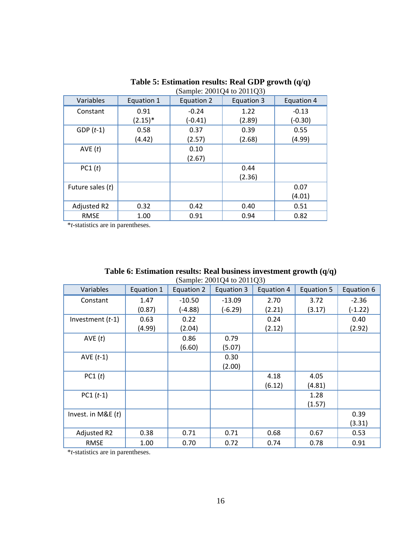| (Sample: 2001Q4 to 2011Q3) |            |            |                   |            |  |  |  |  |
|----------------------------|------------|------------|-------------------|------------|--|--|--|--|
| Variables                  | Equation 1 | Equation 2 | <b>Equation 3</b> | Equation 4 |  |  |  |  |
| Constant                   | 0.91       | $-0.24$    | 1.22              | $-0.13$    |  |  |  |  |
|                            | $(2.15)^*$ | $(-0.41)$  | (2.89)            | $(-0.30)$  |  |  |  |  |
| $GDP(t-1)$                 | 0.58       | 0.37       | 0.39              | 0.55       |  |  |  |  |
|                            | (4.42)     | (2.57)     | (2.68)            | (4.99)     |  |  |  |  |
| AVE(t)                     |            | 0.10       |                   |            |  |  |  |  |
|                            |            | (2.67)     |                   |            |  |  |  |  |
| PC1(t)                     |            |            | 0.44              |            |  |  |  |  |
|                            |            |            | (2.36)            |            |  |  |  |  |
| Future sales (t)           |            |            |                   | 0.07       |  |  |  |  |
|                            |            |            |                   | (4.01)     |  |  |  |  |
| Adjusted R2                | 0.32       | 0.42       | 0.40              | 0.51       |  |  |  |  |
| <b>RMSE</b>                | 1.00       | 0.91       | 0.94              | 0.82       |  |  |  |  |

**Table 5: Estimation results: Real GDP growth (q/q)** 

\**t*-statistics are in parentheses.

| Table 6: Estimation results: Real business investment growth $(q/q)$ |  |
|----------------------------------------------------------------------|--|
| (Sample: $2001Q4$ to $2011Q3$ )                                      |  |

| Variables            | Equation 1 | Equation 2 | Equation 3 | Equation 4 | Equation 5 | Equation 6 |
|----------------------|------------|------------|------------|------------|------------|------------|
| Constant             | 1.47       | $-10.50$   | $-13.09$   | 2.70       | 3.72       | $-2.36$    |
|                      | (0.87)     | $(-4.88)$  | $(-6.29)$  | (2.21)     | (3.17)     | $(-1.22)$  |
| Investment $(t-1)$   | 0.63       | 0.22       |            | 0.24       |            | 0.40       |
|                      | (4.99)     | (2.04)     |            | (2.12)     |            | (2.92)     |
| AVE(t)               |            | 0.86       | 0.79       |            |            |            |
|                      |            | (6.60)     | (5.07)     |            |            |            |
| AVE $(t-1)$          |            |            | 0.30       |            |            |            |
|                      |            |            | (2.00)     |            |            |            |
| PC1(t)               |            |            |            | 4.18       | 4.05       |            |
|                      |            |            |            | (6.12)     | (4.81)     |            |
| $PC1(t-1)$           |            |            |            |            | 1.28       |            |
|                      |            |            |            |            | (1.57)     |            |
| Invest. in M&E $(t)$ |            |            |            |            |            | 0.39       |
|                      |            |            |            |            |            | (3.31)     |
| Adjusted R2          | 0.38       | 0.71       | 0.71       | 0.68       | 0.67       | 0.53       |
| <b>RMSE</b>          | 1.00       | 0.70       | 0.72       | 0.74       | 0.78       | 0.91       |

\**t*-statistics are in parentheses.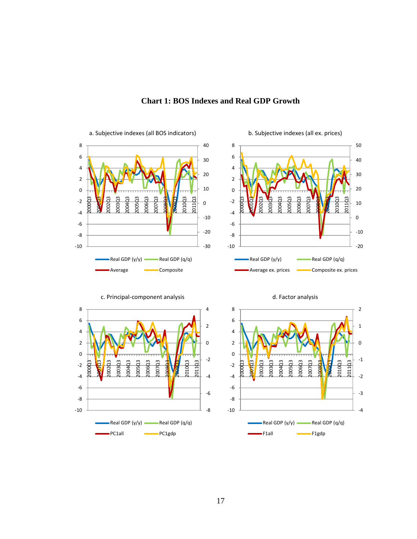

#### **Chart 1: BOS Indexes and Real GDP Growth**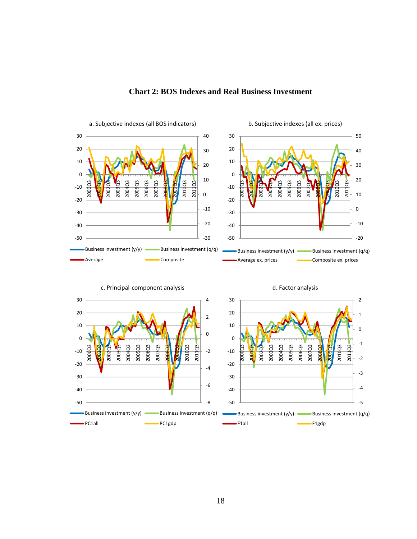

#### **Chart 2: BOS Indexes and Real Business Investment**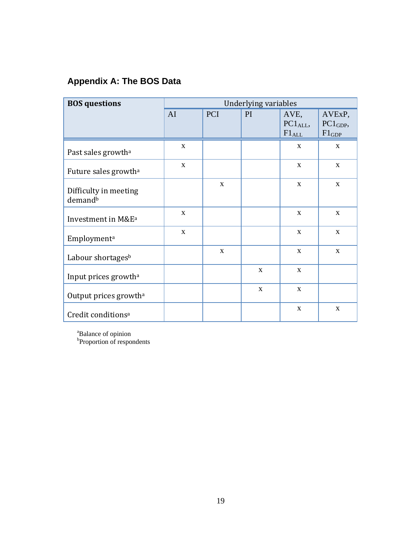## **Appendix A: The BOS Data**

| <b>BOS</b> questions                         | <b>Underlying variables</b> |             |             |                                            |                                                  |  |
|----------------------------------------------|-----------------------------|-------------|-------------|--------------------------------------------|--------------------------------------------------|--|
|                                              | AI                          | <b>PCI</b>  | PI          | AVE,<br>PC1 <sub>ALL</sub> ,<br>$F1_{ALL}$ | AVE <sub>x</sub> P,<br>$PC1_{GDP}$<br>$F1_{GDP}$ |  |
| Past sales growth <sup>a</sup>               | X                           |             |             | X                                          | $\mathbf{X}$                                     |  |
| Future sales growth <sup>a</sup>             | $\mathbf{x}$                |             |             | X                                          | $\mathbf{x}$                                     |  |
| Difficulty in meeting<br>demand <sup>b</sup> |                             | $\mathbf X$ |             | $\mathbf{X}$                               | $\mathbf{x}$                                     |  |
| Investment in M&E <sup>a</sup>               | X                           |             |             | X                                          | X                                                |  |
| Employment <sup>a</sup>                      | $\mathbf{X}$                |             |             | $\mathbf{X}$                               | $\mathbf{x}$                                     |  |
| Labour shortages <sup>b</sup>                |                             | X           |             | X                                          | $\mathbf{x}$                                     |  |
| Input prices growth <sup>a</sup>             |                             |             | $\mathbf X$ | $\mathbf{X}$                               |                                                  |  |
| Output prices growth <sup>a</sup>            |                             |             | X           | X                                          |                                                  |  |
| Credit conditions <sup>a</sup>               |                             |             |             | X                                          | $\mathbf{x}$                                     |  |

<sup>a</sup>Balance of opinion<br><sup>b</sup>Proportion of respondents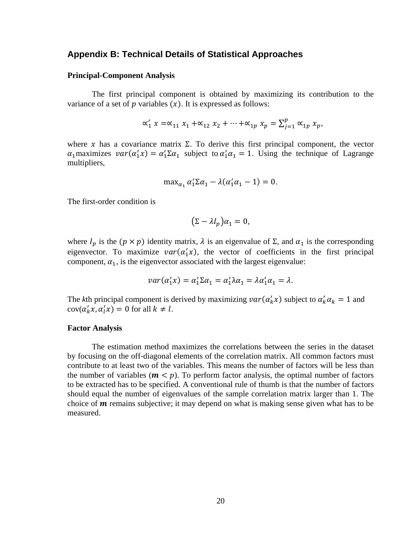#### **Appendix B: Technical Details of Statistical Approaches**

#### **Principal-Component Analysis**

The first principal component is obtained by maximizing its contribution to the variance of a set of  $p$  variables  $(x)$ . It is expressed as follows:

$$
\alpha'_1 x = \alpha_{11} x_1 + \alpha_{12} x_2 + \dots + \alpha_{1p} x_p = \sum_{j=1}^p \alpha_{1p} x_p,
$$

where x has a covariance matrix  $\Sigma$ . To derive this first principal component, the vector  $\alpha_1$  maximizes  $var(\alpha_1' x) = \alpha_1' \Sigma \alpha_1$  subject to  $\alpha_1' \alpha_1 = 1$ . Using the technique of Lagrange multipliers,

$$
\max_{\alpha_1} \alpha'_1 \Sigma \alpha_1 - \lambda (\alpha'_1 \alpha_1 - 1) = 0.
$$

The first-order condition is

$$
(\Sigma - \lambda I_p)\alpha_1 = 0,
$$

where  $I_p$  is the  $(p \times p)$  identity matrix,  $\lambda$  is an eigenvalue of  $\Sigma$ , and  $\alpha_1$  is the corresponding eigenvector. To maximize  $var(\alpha'_1 x)$ , the vector of coefficients in the first principal component,  $\alpha_1$ , is the eigenvector associated with the largest eigenvalue:

$$
var(\alpha'_1 x) = \alpha'_1 \Sigma \alpha_1 = \alpha'_1 \lambda \alpha_1 = \lambda \alpha'_1 \alpha_1 = \lambda.
$$

The *k*th principal component is derived by maximizing  $var(\alpha'_k x)$  subject to  $\alpha'_k \alpha_k = 1$  and  $cov(\alpha'_k x, \alpha'_l x) = 0$  for all  $k \neq l$ .

#### **Factor Analysis**

The estimation method maximizes the correlations between the series in the dataset by focusing on the off-diagonal elements of the correlation matrix. All common factors must contribute to at least two of the variables. This means the number of factors will be less than the number of variables  $(m < p)$ . To perform factor analysis, the optimal number of factors to be extracted has to be specified. A conventional rule of thumb is that the number of factors should equal the number of eigenvalues of the sample correlation matrix larger than 1. The choice of  $m$  remains subjective; it may depend on what is making sense given what has to be measured.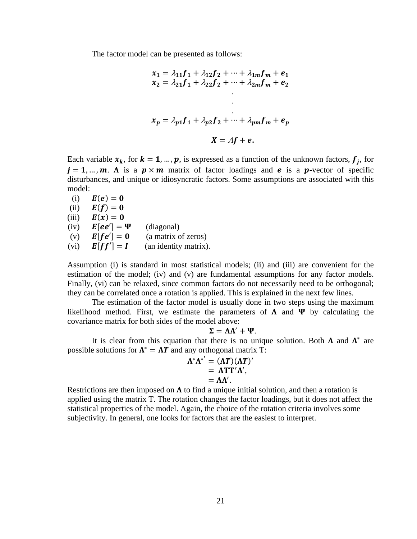The factor model can be presented as follows:

$$
x_1 = \lambda_{11}f_1 + \lambda_{12}f_2 + \dots + \lambda_{1m}f_m + e_1
$$
  
\n
$$
x_2 = \lambda_{21}f_1 + \lambda_{22}f_2 + \dots + \lambda_{2m}f_m + e_2
$$
  
\n
$$
\vdots
$$
  
\n
$$
x_p = \lambda_{p1}f_1 + \lambda_{p2}f_2 + \dots + \lambda_{pm}f_m + e_p
$$
  
\n
$$
X = Af + e.
$$

Each variable  $x_k$ , for  $k = 1, ..., p$ , is expressed as a function of the unknown factors,  $f_i$ , for  $j = 1, ..., m$ . A is a  $p \times m$  matrix of factor loadings and **e** is a **p**-vector of specific disturbances, and unique or idiosyncratic factors. Some assumptions are associated with this model:

(i)  $E(e) = 0$ (ii)  $\mathbf{E}(\mathbf{f}) = \mathbf{0}$ (iii)  $\mathbf{E}(\mathbf{x}) = \mathbf{0}$ (iv)  $\mathbf{E}[\mathbf{e}\mathbf{e}'] = \mathbf{\Psi}$  (diagonal) (v)  $\mathbf{E}[\mathbf{f}\mathbf{e}'] = \mathbf{0}$  (a matrix of zeros) (vi)  $\mathbf{E}[\mathbf{f}\mathbf{f}'] = \mathbf{I}$  (an identity matrix).

Assumption (i) is standard in most statistical models; (ii) and (iii) are convenient for the estimation of the model; (iv) and (v) are fundamental assumptions for any factor models. Finally, (vi) can be relaxed, since common factors do not necessarily need to be orthogonal; they can be correlated once a rotation is applied. This is explained in the next few lines.

The estimation of the factor model is usually done in two steps using the maximum likelihood method. First, we estimate the parameters of  $\Lambda$  and  $\Psi$  by calculating the covariance matrix for both sides of the model above:

$$
\Sigma = \Lambda \Lambda' + \Psi.
$$

It is clear from this equation that there is no unique solution. Both  $\Lambda$  and  $\Lambda^*$  are possible solutions for  $\Lambda^* = \Lambda T$  and any orthogonal matrix T:

$$
\Lambda^* \Lambda^{*'} = (\Lambda T)(\Lambda T)'
$$
  
=  $\Lambda T T' \Lambda'$ ,  
=  $\Lambda \Lambda'$ .

Restrictions are then imposed on  $\Lambda$  to find a unique initial solution, and then a rotation is applied using the matrix T. The rotation changes the factor loadings, but it does not affect the statistical properties of the model. Again, the choice of the rotation criteria involves some subjectivity. In general, one looks for factors that are the easiest to interpret.